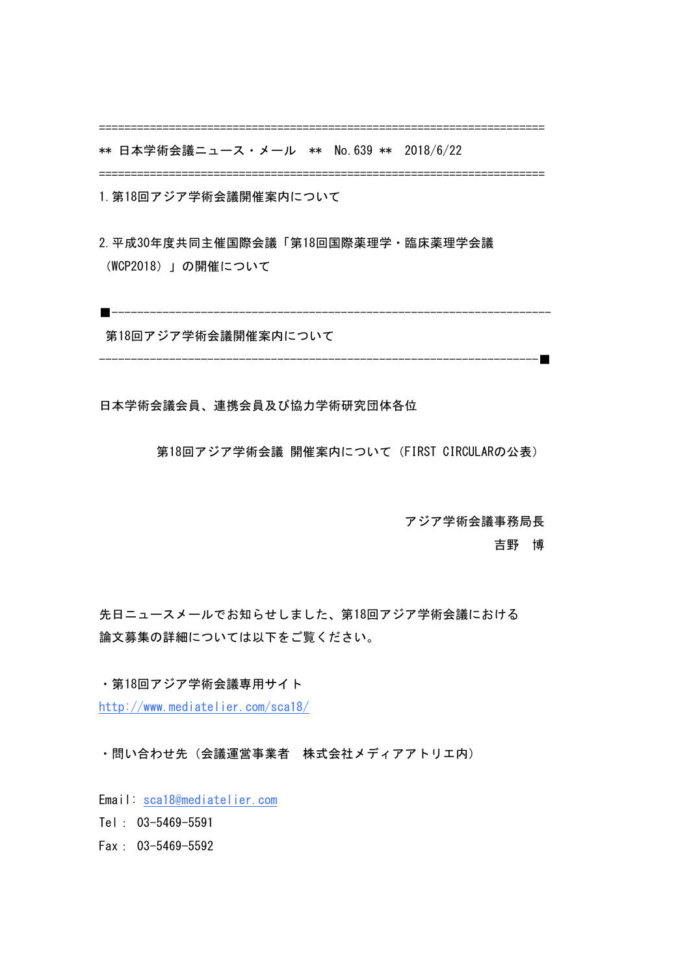======================================================================

\*\* 日本学術会議ニュース・メール \*\* No.639 \*\* 2018/6/22 

======================================================================

1.第18回アジア学術会議開催案内について

2.平成30年度共同主催国際会議「第18回国際薬理学・臨床薬理学会議 (WCP2018)」の開催について

■---------------------------------------------------------------------

第18回アジア学術会議開催案内について

---------------------------------------------------------------------■

日本学術会議会員、連携会員及び協力学術研究団体各位

第18回アジア学術会議 開催案内について (FIRST CIRCULARの公表)

 アジア学術会議事務局長

 吉野 博

先日ニュースメールでお知らせしました、第18回アジア学術会議における 論文募集の詳細については以下をご覧ください。

・第18回アジア学術会議専用サイト

http://www.mediatelier.com/sca18/

・問い合わせ先(会議運営事業者 株式会社メディアアトリエ内)

Email: sca18@mediatelier.com

Tel: 03-5469-5591 

Fax: 03-5469-5592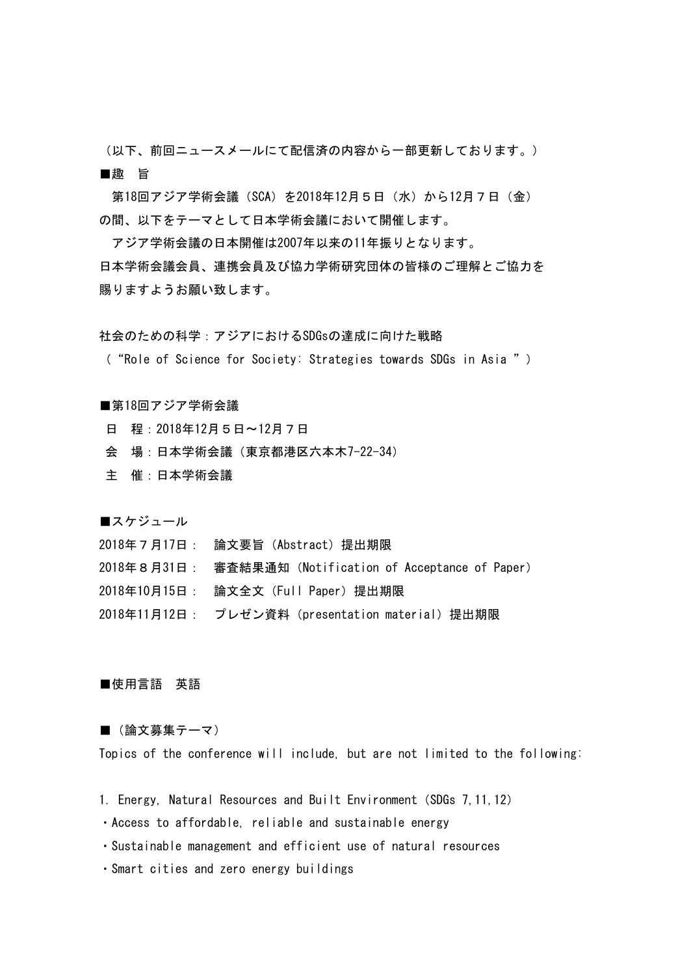(以下、前回ニュースメールにて配信済の内容から一部更新しております。) ■趣 旨

第18回アジア学術会議 (SCA) を2018年12月5日 (水) から12月7日 (金) の間、以下をテーマとして日本学術会議において開催します。

アジア学術会議の日本開催は2007年以来の11年振りとなります。 日本学術会議会員、連携会員及び協力学術研究団体の皆様のご理解とご協力を 賜りますようお願い致します。

社会のための科学:アジアにおけるSDGsの達成に向けた戦略

( "Role of Science for Society: Strategies towards SDGs in Asia " )

## ■第18回アジア学術会議

日 程:2018年12月5日〜12月7日

- 会 場:日本学術会議(東京都港区六本木7-22-34)
- 主 催:日本学術会議

■スケジュール

2018年7月17日: 論文要旨(Abstract)提出期限

2018年8月31日: 審査結果通知(Notification of Acceptance of Paper)

2018年10月15日: 論文全文(Full Paper)提出期限

2018年11月12日: プレゼン資料 (presentation material) 提出期限

## ■使用言語 英語

## ■ (論文募集テーマ)

Topics of the conference will include, but are not limited to the following:

- 1. Energy, Natural Resources and Built Environment (SDGs 7, 11, 12)
- ・Access to affordable, reliable and sustainable energy
- ・Sustainable management and efficient use of natural resources
- ・Smart cities and zero energy buildings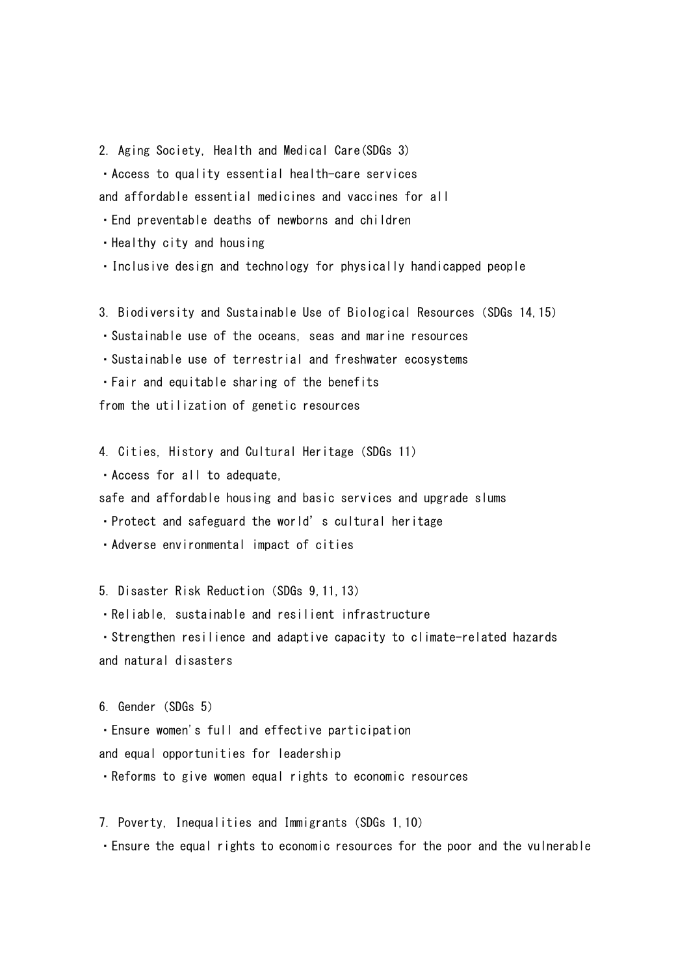2. Aging Society, Health and Medical Care(SDGs 3) • Access to quality essential health-care services and affordable essential medicines and vaccines for all

・End preventable deaths of newborns and children

・Healthy city and housing

・Inclusive design and technology for physically handicapped people

3. Biodiversity and Sustainable Use of Biological Resources (SDGs 14, 15)

・Sustainable use of the oceans, seas and marine resources

・Sustainable use of terrestrial and freshwater ecosystems

・Fair and equitable sharing of the benefits

from the utilization of genetic resources

4. Cities, History and Cultural Heritage (SDGs 11)

・Access for all to adequate,

safe and affordable housing and basic services and upgrade slums

• Protect and safeguard the world's cultural heritage

・Adverse environmental impact of cities

5. Disaster Risk Reduction(SDGs 9,11,13)

・Reliable, sustainable and resilient infrastructure

・Strengthen resilience and adaptive capacity to climate-related hazards and natural disasters

6. Gender (SDGs 5)

・Ensure women's full and effective participation

and equal opportunities for leadership

• Reforms to give women equal rights to economic resources

7. Poverty, Inequalities and Immigrants (SDGs 1, 10)

• Ensure the equal rights to economic resources for the poor and the vulnerable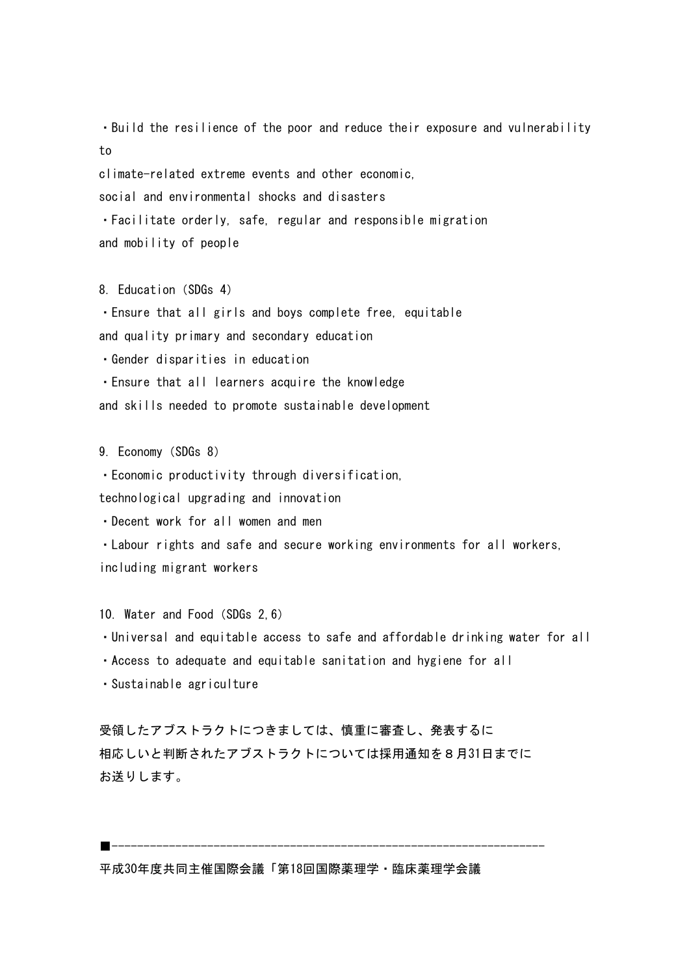• Build the resilience of the poor and reduce their exposure and vulnerability to

climate-related extreme events and other economic,

social and environmental shocks and disasters

・Facilitate orderly, safe, regular and responsible migration and mobility of people

8. Education (SDGs 4)

• Ensure that all girls and boys complete free, equitable and quality primary and secondary education

・Gender disparities in education

• Ensure that all learners acquire the knowledge

and skills needed to promote sustainable development

9. Economy (SDGs 8)

・Economic productivity through diversification, 

technological upgrading and innovation

・Decent work for all women and men

・Labour rights and safe and secure working environments for all workers, including migrant workers

10. Water and Food (SDGs 2, 6)

・Universal and equitable access to safe and affordable drinking water for all

・Access to adequate and equitable sanitation and hygiene for all

・Sustainable agriculture

受領したアブストラクトにつきましては、慎重に審査し、発表するに 相応しいと判断されたアブストラクトについては採用通知を8月31日までに お送りします。

■--------------------------------------------------------------------

平成30年度共同主催国際会議「第18回国際薬理学・臨床薬理学会議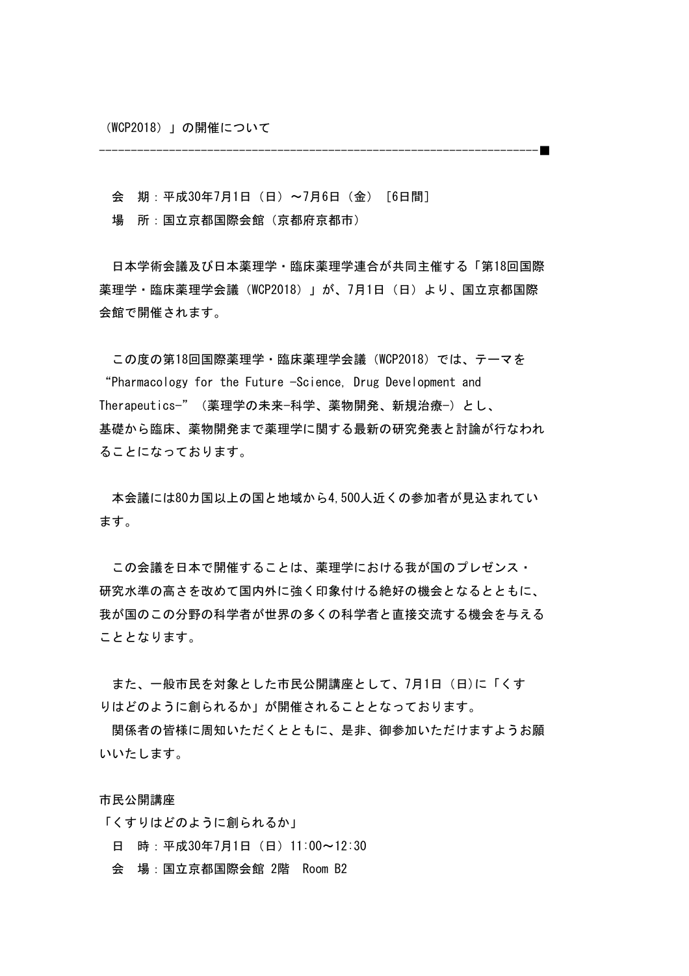(WCP2018)」の開催について

---------------------------------------------------------------------■

会 期:平成30年7月1日(日)〜7月6日(金)[6日間]

場 所:国立京都国際会館(京都府京都市)

日本学術会議及び日本薬理学・臨床薬理学連合が共同主催する「第18回国際 薬理学・臨床薬理学会議(WCP2018)」が、7月1日(日)より、国立京都国際 会館で開催されます。

この度の第18回国際薬理学・臨床薬理学会議(WCP2018)では、テーマを "Pharmacology for the Future −Science, Drug Development and Therapeutics−"(薬理学の未来−科学、薬物開発、新規治療−)とし、 基礎から臨床、薬物開発まで薬理学に関する最新の研究発表と討論が行なわれ ることになっております。

本会議には80カ国以上の国と地域から4,500人近くの参加者が見込まれてい ます。

この会議を日本で開催することは、薬理学における我が国のプレゼンス・ 研究水準の高さを改めて国内外に強く印象付ける絶好の機会となるとともに、 我が国のこの分野の科学者が世界の多くの科学者と直接交流する機会を与える こととなります。

また、一般市民を対象とした市民公開講座として、7月1日(日)に「くす りはどのように創られるか」が開催されることとなっております。

関係者の皆様に周知いただくとともに、是非、御参加いただけますようお願 いいたします。

市民公開講座

「くすりはどのように創られるか」

- 日 時:平成30年7月1日(日)11:00〜12:30
- 会 場:国立京都国際会館 2階 Room B2